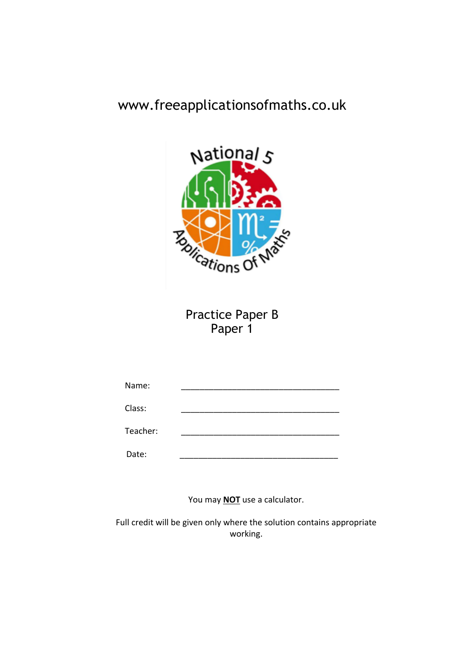# www.freeapplicationsofmaths.co.uk



Practice Paper B Paper 1

| Name:    |  |
|----------|--|
| Class:   |  |
| Teacher: |  |
| Date:    |  |

You may **NOT** use a calculator.

Full credit will be given only where the solution contains appropriate working.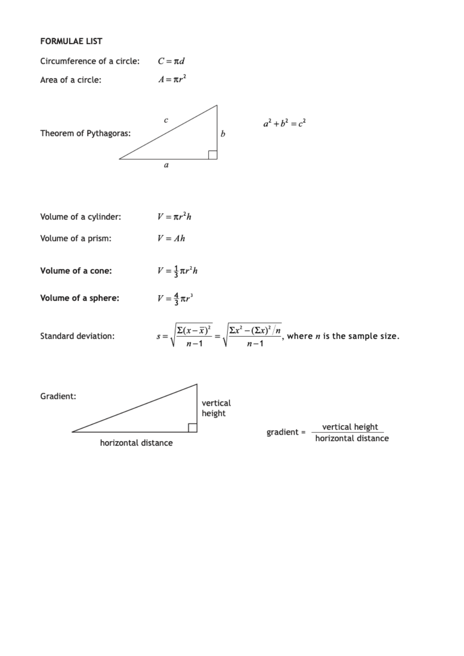## **FORMULAE LIST**

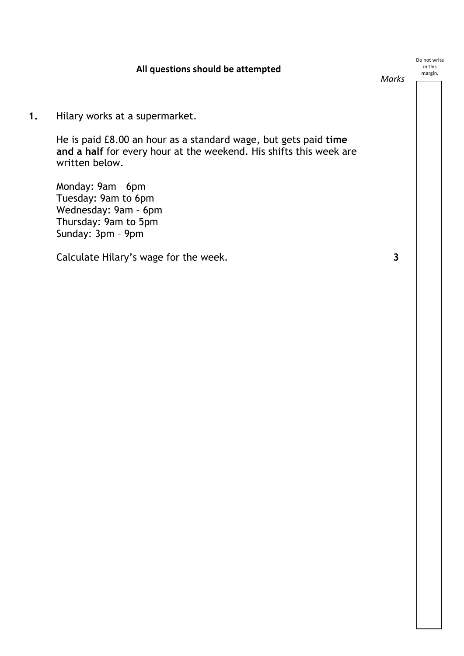# **All questions should be attempted**

Do not write in this margin.

*Marks*

**1.** Hilary works at a supermarket.

He is paid £8.00 an hour as a standard wage, but gets paid **time and a half** for every hour at the weekend. His shifts this week are written below.

Monday: 9am – 6pm Tuesday: 9am to 6pm Wednesday: 9am – 6pm Thursday: 9am to 5pm Sunday: 3pm – 9pm

Calculate Hilary's wage for the week. **3**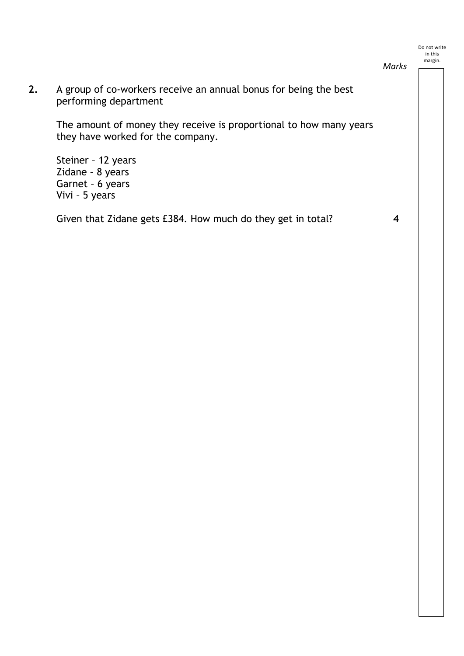*Marks*

**2.** A group of co-workers receive an annual bonus for being the best performing department

The amount of money they receive is proportional to how many years they have worked for the company.

Steiner – 12 years Zidane – 8 years Garnet – 6 years Vivi – 5 years

Given that Zidane gets £384. How much do they get in total? **4**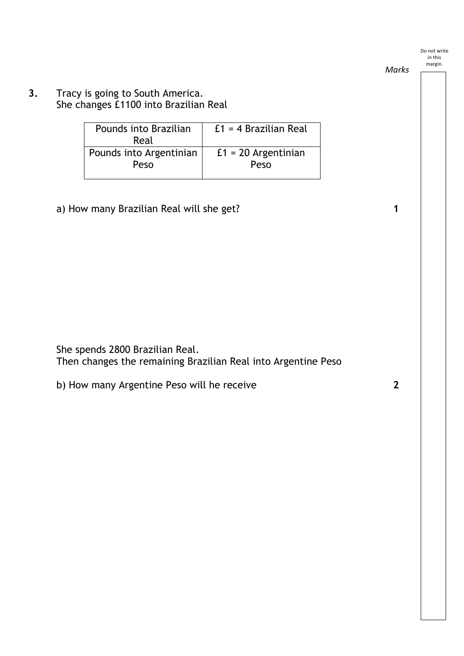### *Marks*

**3.** Tracy is going to South America. She changes £1100 into Brazilian Real

| Pounds into Brazilian   | $f1 = 4$ Brazilian Real |
|-------------------------|-------------------------|
|                         |                         |
| Real                    |                         |
| Pounds into Argentinian | $f1 = 20$ Argentinian   |
|                         |                         |
| Peso                    | Peso                    |
|                         |                         |
|                         |                         |

a) How many Brazilian Real will she get? **1**

| She spends 2800 Brazilian Real.                               |  |
|---------------------------------------------------------------|--|
| Then changes the remaining Brazilian Real into Argentine Peso |  |

| b) How many Argentine Peso will he receive |  |
|--------------------------------------------|--|
|--------------------------------------------|--|

Do not write in this margin.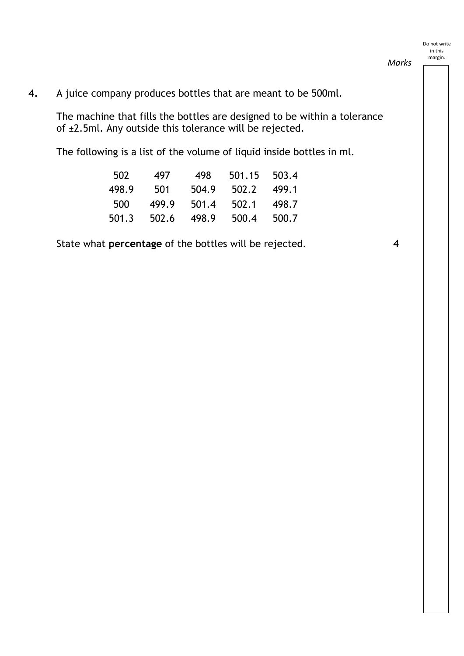*Marks*

# **4.** A juice company produces bottles that are meant to be 500ml.

The machine that fills the bottles are designed to be within a tolerance of  $\pm 2.5$ ml. Any outside this tolerance will be rejected.

The following is a list of the volume of liquid inside bottles in ml.

| 502   | 497   | 498   | 501.15 | 503.4 |
|-------|-------|-------|--------|-------|
| 498.9 | 501   | 504.9 | 502.2  | 499.1 |
| 500   | 499.9 | 501.4 | 502.1  | 498.7 |
| 501.3 | 502.6 | 498.9 | 500.4  | 500.7 |

State what **percentage** of the bottles will be rejected. **4**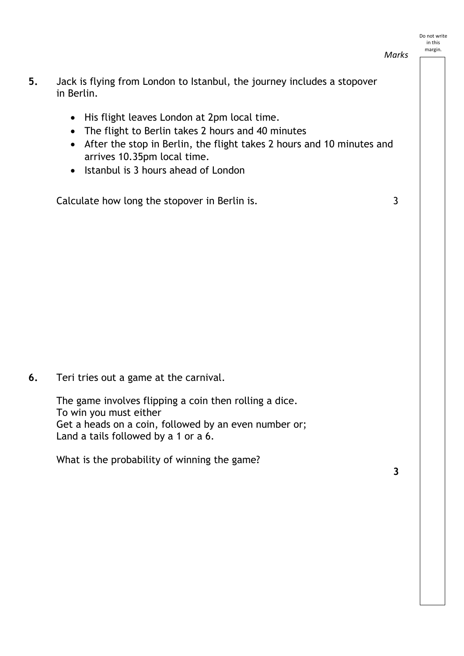*Marks*

- **5.** Jack is flying from London to Istanbul, the journey includes a stopover in Berlin.
	- His flight leaves London at 2pm local time.
	- The flight to Berlin takes 2 hours and 40 minutes
	- After the stop in Berlin, the flight takes 2 hours and 10 minutes and arrives 10.35pm local time.
	- Istanbul is 3 hours ahead of London

Calculate how long the stopover in Berlin is. 3

**6.** Teri tries out a game at the carnival.

The game involves flipping a coin then rolling a dice. To win you must either Get a heads on a coin, followed by an even number or; Land a tails followed by a 1 or a 6.

What is the probability of winning the game?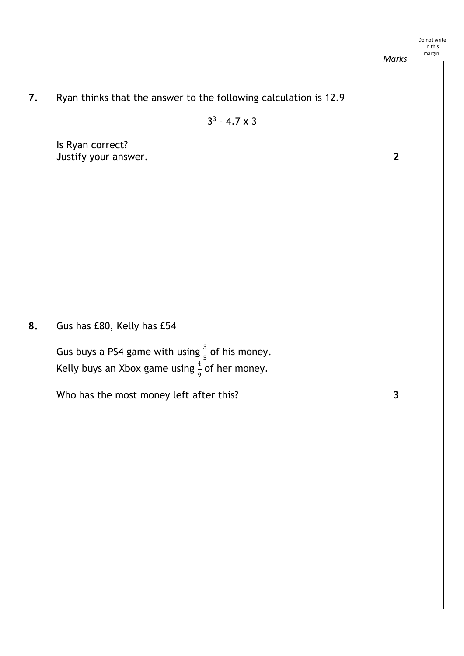#### Do not write in this

*Marks*



 $3^3 - 4.7 \times 3$ 

Justify your answer. **2** Is Ryan correct?

**8.** Gus has £80, Kelly has £54

Gus buys a PS4 game with using  $\frac{3}{5}$  of his money. Kelly buys an Xbox game using  $\frac{4}{9}$  of her money.

Who has the most money left after this? **3** 

margin.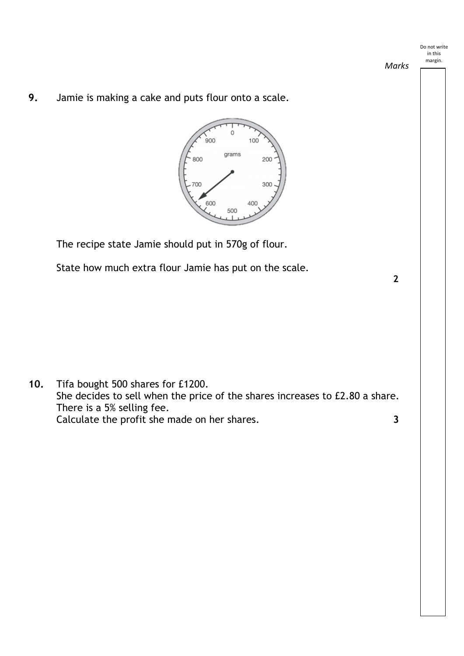*Marks*

**2**

**9.** Jamie is making a cake and puts flour onto a scale.



The recipe state Jamie should put in 570g of flour.

State how much extra flour Jamie has put on the scale.

**10.** Tifa bought 500 shares for £1200. She decides to sell when the price of the shares increases to £2.80 a share. There is a 5% selling fee. Calculate the profit she made on her shares. **3**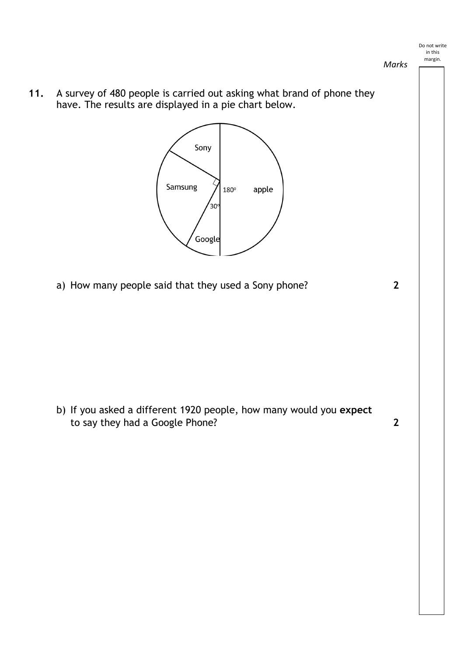*Marks*

**11.** A survey of 480 people is carried out asking what brand of phone they have. The results are displayed in a pie chart below.



a) How many people said that they used a Sony phone? **2**

b) If you asked a different 1920 people, how many would you **expect**  to say they had a Google Phone? **2**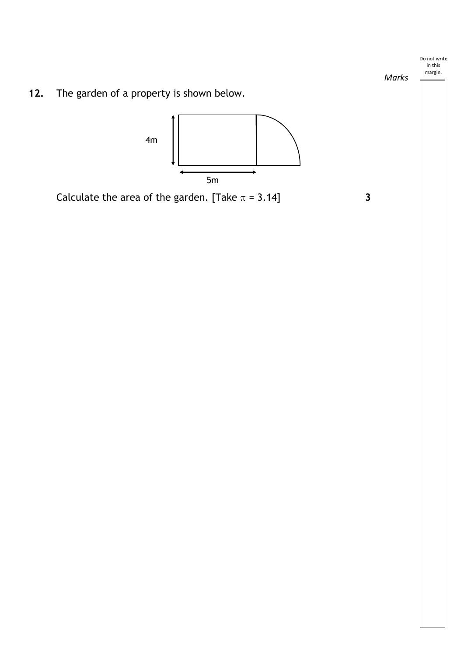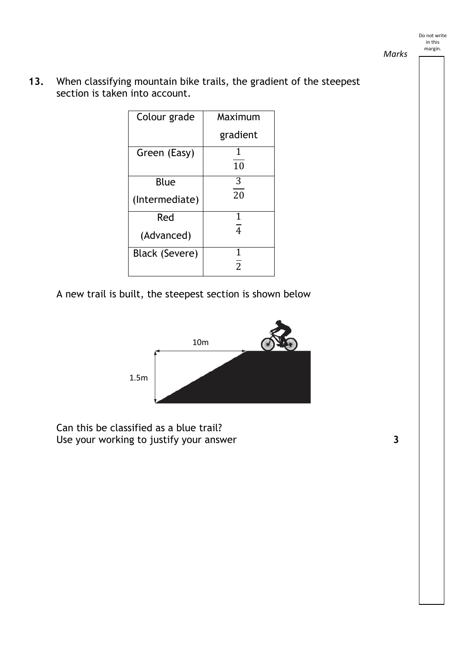### *Marks*

**13.** When classifying mountain bike trails, the gradient of the steepest section is taken into account.

| Colour grade          | Maximum        |
|-----------------------|----------------|
|                       | gradient       |
| Green (Easy)          | 1<br>10        |
| Blue                  | 3              |
| (Intermediate)        | 20             |
| Red                   | 1              |
| (Advanced)            | $\overline{4}$ |
| <b>Black (Severe)</b> | 1              |
|                       | $\overline{2}$ |

A new trail is built, the steepest section is shown below



Can this be classified as a blue trail? Use your working to justify your answer **3** and the same state of  $\mathbf{3}$